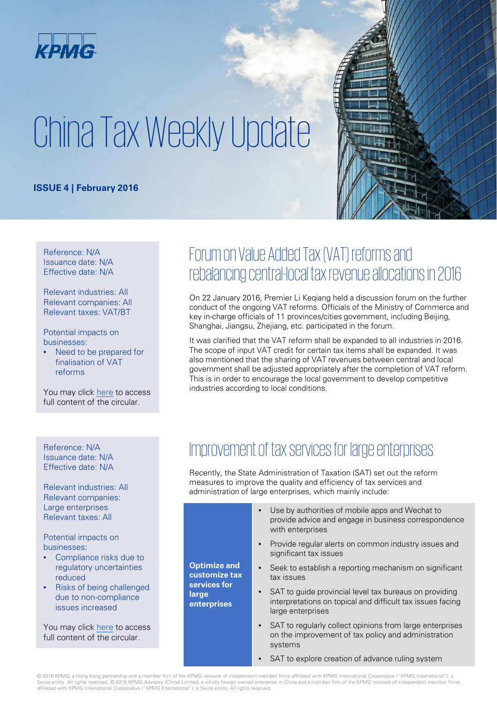

# China Tax Weekly Update

#### **ISSUE 4 | February 2016**

Reference: N/A Issuance date: N/A Effective date: N/A

Relevant industries: All Relevant companies: All Relevant taxes: VAT/BT

Potential impacts on businesses:

• Need to be prepared for finalisation of VAT reforms

You may click [here](http://www.gov.cn/guowuyuan/2016-01/25/content_5036070.htm) to access full content of the circular.

### Forum on Value Added Tax (VAT) reforms and rebalancing central-local tax revenue allocations in 2016

On 22 January 2016, Premier Li Keqiang held a discussion forum on the further conduct of the ongoing VAT reforms. Officials of the Ministry of Commerce and key in-charge officials of 11 provinces/cities government, including Beijing, Shanghai, Jiangsu, Zhejiang, etc. participated in the forum.

It was clarified that the VAT reform shall be expanded to all industries in 2016. The scope of input VAT credit for certain tax items shall be expanded. It was also mentioned that the sharing of VAT revenues between central and local government shall be adjusted appropriately after the completion of VAT reform. This is in order to encourage the local government to develop competitive industries according to local conditions.

Issuance date: N/A Effective date: N/A

Relevant industries: All Relevant companies: Large enterprises Relevant taxes: All

Potential impacts on businesses:

- Compliance risks due to regulatory uncertainties reduced
- Risks of being challenged due to non-compliance issues increased

You may click [here](http://www.chinatax.gov.cn/n810219/n810724/c1993097/content.html) to access full content of the circular

#### Reference: N/A<br>Improvement of tax services for large enterprises

Recently, the State Administration of Taxation (SAT) set out the reform measures to improve the quality and efficiency of tax services and administration of large enterprises, which mainly include:

- Use by authorities of mobile apps and Wechat to provide advice and engage in business correspondence with enterprises
- Provide regular alerts on common industry issues and significant tax issues

**Optimize and customize tax services for**  tax issues

- Seek to establish a reporting mechanism on significant
- SAT to quide provincial level tax bureaus on providing interpretations on topical and difficult tax issues facing large enterprises
- SAT to regularly collect opinions from large enterprises on the improvement of tax policy and administration systems
- SAT to explore creation of advance ruling system

© 2016 KPMG, a Hong Kong partnership and a member firm of the KPMG network of independent member firms affiliated with KPMG International Cooperative ("KPMG International"), a Swiss entity. All rights reserved. © 2016 KPMG Advisory (China) Limited, a wholly foreign owned enterprise in China and a member firm of the KPMG network of independent member firms affiliated with KPMG International Cooperative ("KPMG International"), a Swiss entity. All rights reserved.

**large enterprises**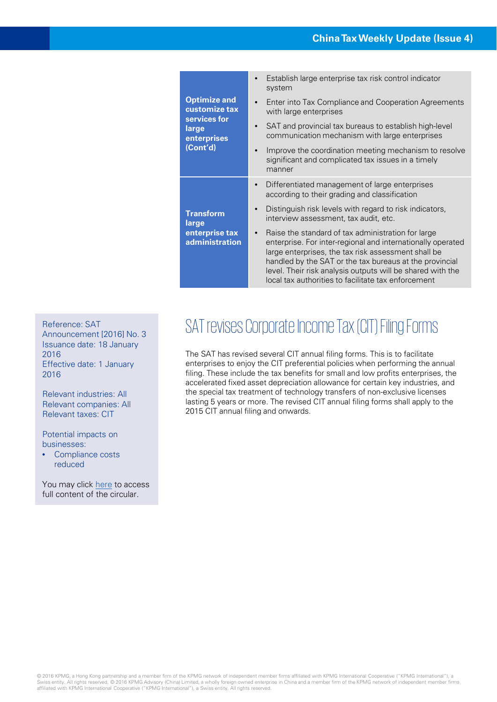| <b>Optimize and</b><br>customize tax<br>services for<br>large<br>enterprises<br>(Cont'd) | Establish large enterprise tax risk control indicator<br>system                                                                                                                                                                                                                                                                                                       |
|------------------------------------------------------------------------------------------|-----------------------------------------------------------------------------------------------------------------------------------------------------------------------------------------------------------------------------------------------------------------------------------------------------------------------------------------------------------------------|
|                                                                                          | Enter into Tax Compliance and Cooperation Agreements<br>$\bullet$<br>with large enterprises                                                                                                                                                                                                                                                                           |
|                                                                                          | SAT and provincial tax bureaus to establish high-level<br>communication mechanism with large enterprises                                                                                                                                                                                                                                                              |
|                                                                                          | Improve the coordination meeting mechanism to resolve<br>significant and complicated tax issues in a timely<br>manner                                                                                                                                                                                                                                                 |
| <b>Transform</b><br>large<br>enterprise tax<br>administration                            | Differentiated management of large enterprises<br>$\bullet$<br>according to their grading and classification                                                                                                                                                                                                                                                          |
|                                                                                          | Distinguish risk levels with regard to risk indicators,<br>$\bullet$<br>interview assessment, tax audit, etc.                                                                                                                                                                                                                                                         |
|                                                                                          | Raise the standard of tax administration for large<br>$\bullet$<br>enterprise. For inter-regional and internationally operated<br>large enterprises, the tax risk assessment shall be<br>handled by the SAT or the tax bureaus at the provincial<br>level. Their risk analysis outputs will be shared with the<br>local tax authorities to facilitate tax enforcement |

Announcement [2016] No. 3 Issuance date: 18 January 2016

Effective date: 1 January 2016

Relevant industries: All Relevant companies: All Relevant taxes: CIT

Potential impacts on businesses:

• Compliance costs reduced

You may click [here](http://www.gz-n-tax.gov.cn/zcfg/zxwj/201601/t20160125_64678.html) to access full content of the circular.

# Reference: SAT REVISES CORPORATE INCOME TAX (CIT) FILING FORMS

The SAT has revised several CIT annual filing forms. This is to facilitate enterprises to enjoy the CIT preferential policies when performing the annual filing. These include the tax benefits for small and low profits enterprises, the accelerated fixed asset depreciation allowance for certain key industries, and the special tax treatment of technology transfers of non-exclusive licenses lasting 5 years or more. The revised CIT annual filing forms shall apply to the 2015 CIT annual filing and onwards.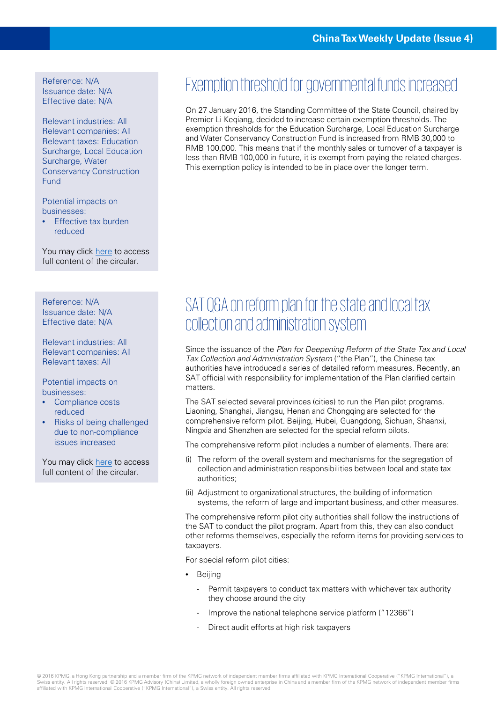Reference: N/A Issuance date: N/A Effective date: N/A

Relevant industries: All Relevant companies: All Relevant taxes: Education Surcharge, Local Education Surcharge, Water Conservancy Construction Fund

Potential impacts on businesses:

• Effective tax burden reduced

You may click [here](http://www.gov.cn/guowuyuan/2016-01/27/content_5036652.htm) to access full content of the circular.

Reference: N/A Issuance date: N/A Effective date: N/A

Relevant industries: All Relevant companies: All Relevant taxes: All

Potential impacts on businesses:

- Compliance costs reduced
- Risks of being challenged due to non-compliance issues increased

You may click [here](http://www.chinatax.gov.cn/n810219/n810724/c1998253/content.html) to access full content of the circular.

#### Exemption threshold for governmental funds increased

On 27 January 2016, the Standing Committee of the State Council, chaired by Premier Li Keqiang, decided to increase certain exemption thresholds. The exemption thresholds for the Education Surcharge, Local Education Surcharge and Water Conservancy Construction Fund is increased from RMB 30,000 to RMB 100,000. This means that if the monthly sales or turnover of a taxpayer is less than RMB 100,000 in future, it is exempt from paying the related charges. This exemption policy is intended to be in place over the longer term.

### SAT Q&A on reform plan for the state and local tax collection and administration system

Since the issuance of the Plan for Deepening Reform of the State Tax and Local Tax Collection and Administration System ("the Plan"), the Chinese tax authorities have introduced a series of detailed reform measures. Recently, an SAT official with responsibility for implementation of the Plan clarified certain matters.

The SAT selected several provinces (cities) to run the Plan pilot programs. Liaoning, Shanghai, Jiangsu, Henan and Chongqing are selected for the comprehensive reform pilot. Beijing, Hubei, Guangdong, Sichuan, Shaanxi, Ningxia and Shenzhen are selected for the special reform pilots.

The comprehensive reform pilot includes a number of elements. There are:

- (i) The reform of the overall system and mechanisms for the segregation of collection and administration responsibilities between local and state tax authorities;
- (ii) Adjustment to organizational structures, the building of information systems, the reform of large and important business, and other measures.

The comprehensive reform pilot city authorities shall follow the instructions of the SAT to conduct the pilot program. Apart from this, they can also conduct other reforms themselves, especially the reform items for providing services to taxpayers.

For special reform pilot cities:

- Beijing
	- Permit taxpayers to conduct tax matters with whichever tax authority they choose around the city
	- Improve the national telephone service platform ("12366")
	- Direct audit efforts at high risk taxpayers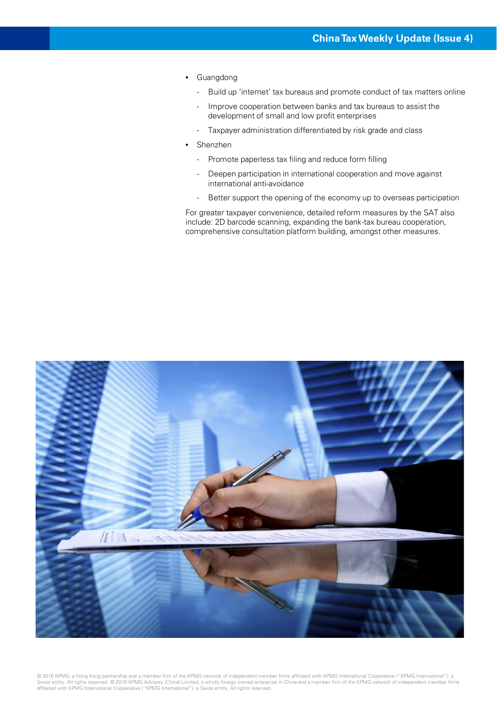- Guangdong
	- Build up 'internet' tax bureaus and promote conduct of tax matters online
	- Improve cooperation between banks and tax bureaus to assist the development of small and low profit enterprises
	- Taxpayer administration differentiated by risk grade and class
- Shenzhen
	- Promote paperless tax filing and reduce form filling
	- Deepen participation in international cooperation and move against international anti-avoidance
	- Better support the opening of the economy up to overseas participation

For greater taxpayer convenience, detailed reform measures by the SAT also include: 2D barcode scanning, expanding the bank-tax bureau cooperation, comprehensive consultation platform building, amongst other measures.



© 2016 KPMG, a Hong Kong partnership and a member firm of the KPMG network of independent member firms affiliated with KPMG International Cooperative ("KPMG International"), a<br>Swiss entity. All rights reserved. © 2016 KPMG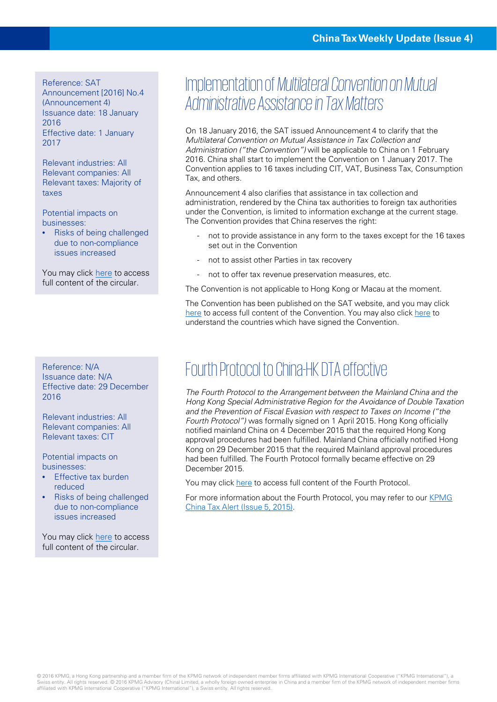Reference: SAT

Announcement [2016] No.4 (Announcement 4) Issuance date: 18 January 2016 Effective date: 1 January 2017

Relevant industries: All Relevant companies: All Relevant taxes: Majority of taxes

Potential impacts on businesses:

• Risks of being challenged due to non-compliance issues increased

You may click [here](http://gy.gz-n-tax.gov.cn/xxgk/tzgg/201601/t20160126_64716.html) to access full content of the circular.

Reference: N/A Issuance date: N/A Effective date: 29 December 2016

Relevant industries: All Relevant companies: All Relevant taxes: CIT

Potential impacts on businesses:

- **Effective tax burden** reduced
- Risks of being challenged due to non-compliance issues increased

You may click [here](http://www.ird.gov.hk/chs/tax/dta5.htm) to access full content of the circular.

#### Implementation of *Multilateral Convention on Mutual Administrative Assistance in Tax Matters*

On 18 January 2016, the SAT issued Announcement 4 to clarify that the Multilateral Convention on Mutual Assistance in Tax Collection and Administration ("the Convention") will be applicable to China on 1 February 2016. China shall start to implement the Convention on 1 January 2017. The Convention applies to 16 taxes including CIT, VAT, Business Tax, Consumption Tax, and others.

Announcement 4 also clarifies that assistance in tax collection and administration, rendered by the China tax authorities to foreign tax authorities under the Convention, is limited to information exchange at the current stage. The Convention provides that China reserves the right:

- not to provide assistance in any form to the taxes except for the 16 taxes set out in the Convention
- not to assist other Parties in tax recovery
- not to offer tax revenue preservation measures, etc.

The Convention is not applicable to Hong Kong or Macau at the moment.

The Convention has been published on the SAT website, and you may click [here](http://www.oecd.org/ctp/exchange-of-tax-information/conventiononmutualadministrativeassistanceintaxmatters.htm) to access full content of the Convention. You may also click here to understand the countries which have signed the Convention.

## Fourth Protocol to China-HK DTA effective

The Fourth Protocol to the Arrangement between the Mainland China and the Hong Kong Special Administrative Region for the Avoidance of Double Taxation and the Prevention of Fiscal Evasion with respect to Taxes on Income ("the Fourth Protocol") was formally signed on 1 April 2015. Hong Kong officially notified mainland China on 4 December 2015 that the required Hong Kong approval procedures had been fulfilled. Mainland China officially notified Hong Kong on 29 December 2015 that the required Mainland approval procedures had been fulfilled. The Fourth Protocol formally became effective on 29 December 2015.

You may click [here](http://www.chinatax.gov.cn/n810341/n810770/c1153751/part/1644389.pdf) to access full content of the Fourth Protocol.

[For more information about the Fourth Protocol, you may refer to our KPMG](http://www.kpmg.com/CN/zh/IssuesAndInsights/ArticlesPublications/Newsletters/ChinaAlerts/Pages/China-tax-alert-1504-05-new-tax-arrangement-protocol-boost-HK-leasing-and-asset-management-industries.aspx) China Tax Alert (Issue 5, 2015).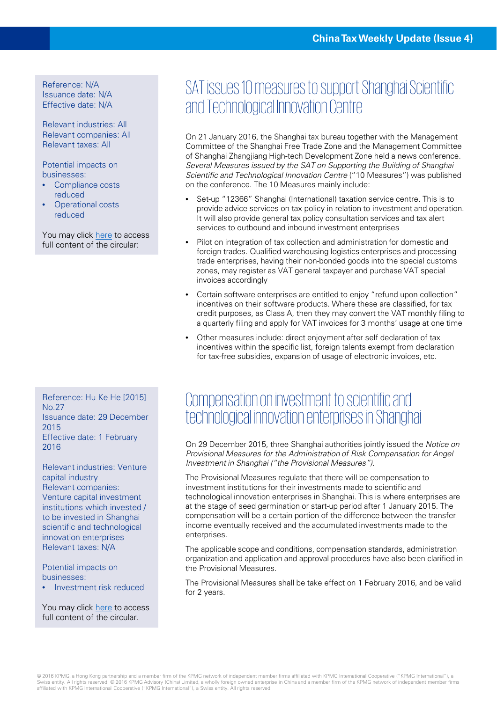Reference: N/A Issuance date: N/A Effective date: N/A

Relevant industries: All Relevant companies: All Relevant taxes: All

Potential impacts on businesses:

- Compliance costs reduced
- **Operational costs** reduced

You may click [here](http://www.tax.sh.gov.cn/pub/xxgk/swdt/201601/t20160121_421508.html) to access full content of the circular:

Reference: Hu Ke He [2015] No.27 Issuance date: 29 December 2015 Effective date: 1 February 2016

Relevant industries: Venture capital industry Relevant companies: Venture capital investment institutions which invested / to be invested in Shanghai scientific and technological innovation enterprises Relevant taxes: N/A

Potential impacts on businesses:

• Investment risk reduced

You may click [here](http://www.stcsm.gov.cn/gk/zcfg/gfxwz/fkwwj/343485.htm) to access full content of the circular.

### SAT issues 10 measures to support Shanghai Scientific and Technological Innovation Centre

On 21 January 2016, the Shanghai tax bureau together with the Management Committee of the Shanghai Free Trade Zone and the Management Committee of Shanghai Zhangjiang High-tech Development Zone held a news conference. Several Measures issued by the SAT on Supporting the Building of Shanghai Scientific and Technological Innovation Centre ("10 Measures") was published on the conference. The 10 Measures mainly include:

- Set-up "12366" Shanghai (International) taxation service centre. This is to provide advice services on tax policy in relation to investment and operation. It will also provide general tax policy consultation services and tax alert services to outbound and inbound investment enterprises
- Pilot on integration of tax collection and administration for domestic and foreign trades. Qualified warehousing logistics enterprises and processing trade enterprises, having their non-bonded goods into the special customs zones, may register as VAT general taxpayer and purchase VAT special invoices accordingly
- Certain software enterprises are entitled to enjoy "refund upon collection" incentives on their software products. Where these are classified, for tax credit purposes, as Class A, then they may convert the VAT monthly filing to a quarterly filing and apply for VAT invoices for 3 months' usage at one time
- Other measures include: direct enjoyment after self declaration of tax incentives within the specific list, foreign talents exempt from declaration for tax-free subsidies, expansion of usage of electronic invoices, etc.

#### Compensation on investment to scientific and technological innovation enterprises in Shanghai

On 29 December 2015, three Shanghai authorities jointly issued the Notice on Provisional Measures for the Administration of Risk Compensation for Angel Investment in Shanghai ("the Provisional Measures").

The Provisional Measures regulate that there will be compensation to investment institutions for their investments made to scientific and technological innovation enterprises in Shanghai. This is where enterprises are at the stage of seed germination or start-up period after 1 January 2015. The compensation will be a certain portion of the difference between the transfer income eventually received and the accumulated investments made to the enterprises.

The applicable scope and conditions, compensation standards, administration organization and application and approval procedures have also been clarified in the Provisional Measures.

The Provisional Measures shall be take effect on 1 February 2016, and be valid for 2 years.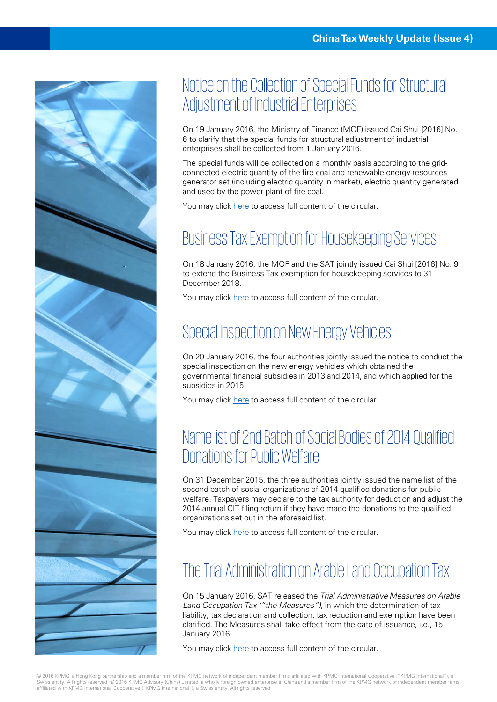

## Notice on the Collection of Special Funds for Structural Adjustment of Industrial Enterprises

On 19 January 2016, the Ministry of Finance (MOF) issued Cai Shui [2016] No. 6 to clarify that the special funds for structural adjustment of industrial enterprises shall be collected from 1 January 2016.

The special funds will be collected on a monthly basis according to the gridconnected electric quantity of the fire coal and renewable energy resources generator set (including electric quantity in market), electric quantity generated and used by the power plant of fire coal.

You may click [here](http://szs.mof.gov.cn/bgtZaiXianFuWu_1_1_11/mlqd/201601/t20160122_1655180.html) to access full content of the circular.

### Business Tax Exemption for Housekeeping Services

On 18 January 2016, the MOF and the SAT jointly issued Cai Shui [2016] No. 9 to extend the Business Tax exemption for housekeeping services to 31 December 2018.

You may click [here](http://szs.mof.gov.cn/zhengwuxinxi/zhengcefabu/201601/t20160125_1657238.html) to access full content of the circular.

#### Special Inspection on New Energy Vehicles

On 20 January 2016, the four authorities jointly issued the notice to conduct the special inspection on the new energy vehicles which obtained the governmental financial subsidies in 2013 and 2014, and which applied for the subsidies in 2015.

You may click [here](http://jjs.mof.gov.cn/zhengwuxinxi/tongzhigonggao/201601/t20160120_1652736.html) to access full content of the circular.

#### Name list of 2nd Batch of Social Bodies of 2014 Qualified Donations for Public Welfare

On 31 December 2015, the three authorities jointly issued the name list of the second batch of social organizations of 2014 qualified donations for public welfare. Taxpayers may declare to the tax authority for deduction and adjust the 2014 annual CIT filing return if they have made the donations to the qualified organizations set out in the aforesaid list.

You may click [here](http://szs.mof.gov.cn/zhengwuxinxi/zhengcefabu/201601/t20160126_1657737.html) to access full content of the circular.

## The Trial Administration on Arable Land Occupation Tax

On 15 January 2016, SAT released the Trial Administrative Measures on Arable Land Occupation Tax ("the Measures"), in which the determination of tax liability, tax declaration and collection, tax reduction and exemption have been clarified. The Measures shall take effect from the date of issuance, i.e., 15 January 2016.

You may click [here](http://www.hitax.gov.cn/sxpd_11_4/2578036.html) to access full content of the circular.